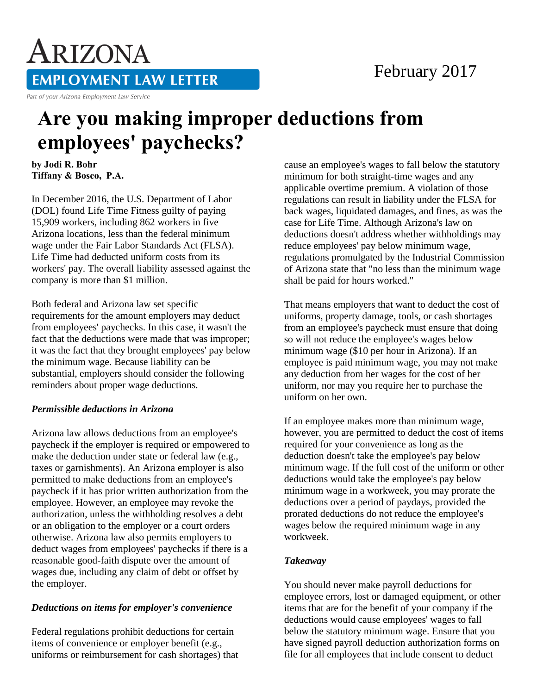## February 2017

ARIZONA **EMPLOYMENT LAW LETTER** 

#### Part of your Arizona Employment Law Service

# **Are you making improper deductions from employees' paychecks?**

**by Jodi R. Bohr Tiffany & Bosco, P.A.** 

In December 2016, the U.S. Department of Labor (DOL) found Life Time Fitness guilty of paying 15,909 workers, including 862 workers in five Arizona locations, less than the federal minimum wage under the Fair Labor Standards Act (FLSA). Life Time had deducted uniform costs from its workers' pay. The overall liability assessed against the company is more than \$1 million.

Both federal and Arizona law set specific requirements for the amount employers may deduct from employees' paychecks. In this case, it wasn't the fact that the deductions were made that was improper; it was the fact that they brought employees' pay below the minimum wage. Because liability can be substantial, employers should consider the following reminders about proper wage deductions.

#### *Permissible deductions in Arizona*

Arizona law allows deductions from an employee's paycheck if the employer is required or empowered to make the deduction under state or federal law (e.g., taxes or garnishments). An Arizona employer is also permitted to make deductions from an employee's paycheck if it has prior written authorization from the employee. However, an employee may revoke the authorization, unless the withholding resolves a debt or an obligation to the employer or a court orders otherwise. Arizona law also permits employers to deduct wages from employees' paychecks if there is a reasonable good-faith dispute over the amount of wages due, including any claim of debt or offset by the employer.

#### *Deductions on items for employer's convenience*

Federal regulations prohibit deductions for certain items of convenience or employer benefit (e.g., uniforms or reimbursement for cash shortages) that cause an employee's wages to fall below the statutory minimum for both straight-time wages and any applicable overtime premium. A violation of those regulations can result in liability under the FLSA for back wages, liquidated damages, and fines, as was the case for Life Time. Although Arizona's law on deductions doesn't address whether withholdings may reduce employees' pay below minimum wage, regulations promulgated by the Industrial Commission of Arizona state that "no less than the minimum wage shall be paid for hours worked."

That means employers that want to deduct the cost of uniforms, property damage, tools, or cash shortages from an employee's paycheck must ensure that doing so will not reduce the employee's wages below minimum wage (\$10 per hour in Arizona). If an employee is paid minimum wage, you may not make any deduction from her wages for the cost of her uniform, nor may you require her to purchase the uniform on her own.

If an employee makes more than minimum wage, however, you are permitted to deduct the cost of items required for your convenience as long as the deduction doesn't take the employee's pay below minimum wage. If the full cost of the uniform or other deductions would take the employee's pay below minimum wage in a workweek, you may prorate the deductions over a period of paydays, provided the prorated deductions do not reduce the employee's wages below the required minimum wage in any workweek.

### *Takeaway*

You should never make payroll deductions for employee errors, lost or damaged equipment, or other items that are for the benefit of your company if the deductions would cause employees' wages to fall below the statutory minimum wage. Ensure that you have signed payroll deduction authorization forms on file for all employees that include consent to deduct